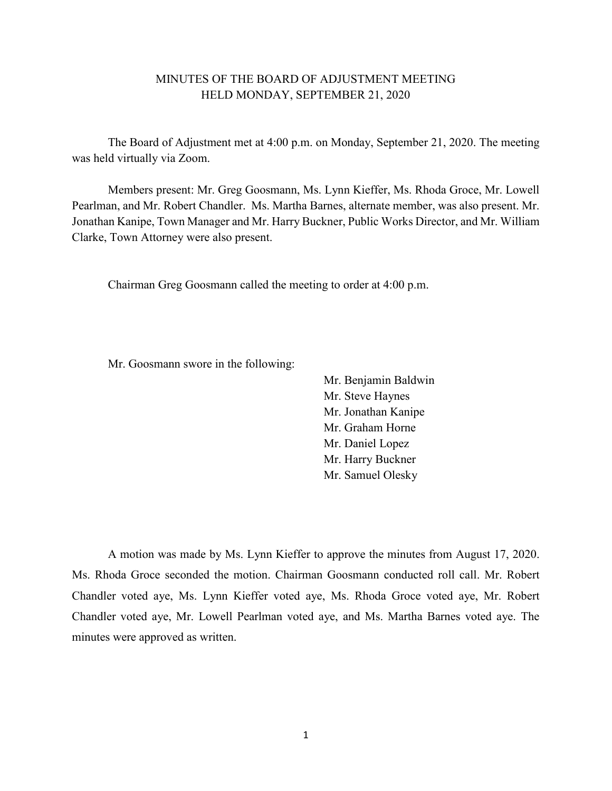# MINUTES OF THE BOARD OF ADJUSTMENT MEETING HELD MONDAY, SEPTEMBER 21, 2020

The Board of Adjustment met at 4:00 p.m. on Monday, September 21, 2020. The meeting was held virtually via Zoom.

Members present: Mr. Greg Goosmann, Ms. Lynn Kieffer, Ms. Rhoda Groce, Mr. Lowell Pearlman, and Mr. Robert Chandler. Ms. Martha Barnes, alternate member, was also present. Mr. Jonathan Kanipe, Town Manager and Mr. Harry Buckner, Public Works Director, and Mr. William Clarke, Town Attorney were also present.

Chairman Greg Goosmann called the meeting to order at 4:00 p.m.

Mr. Goosmann swore in the following:

Mr. Benjamin Baldwin Mr. Steve Haynes Mr. Jonathan Kanipe Mr. Graham Horne Mr. Daniel Lopez Mr. Harry Buckner Mr. Samuel Olesky

A motion was made by Ms. Lynn Kieffer to approve the minutes from August 17, 2020. Ms. Rhoda Groce seconded the motion. Chairman Goosmann conducted roll call. Mr. Robert Chandler voted aye, Ms. Lynn Kieffer voted aye, Ms. Rhoda Groce voted aye, Mr. Robert Chandler voted aye, Mr. Lowell Pearlman voted aye, and Ms. Martha Barnes voted aye. The minutes were approved as written.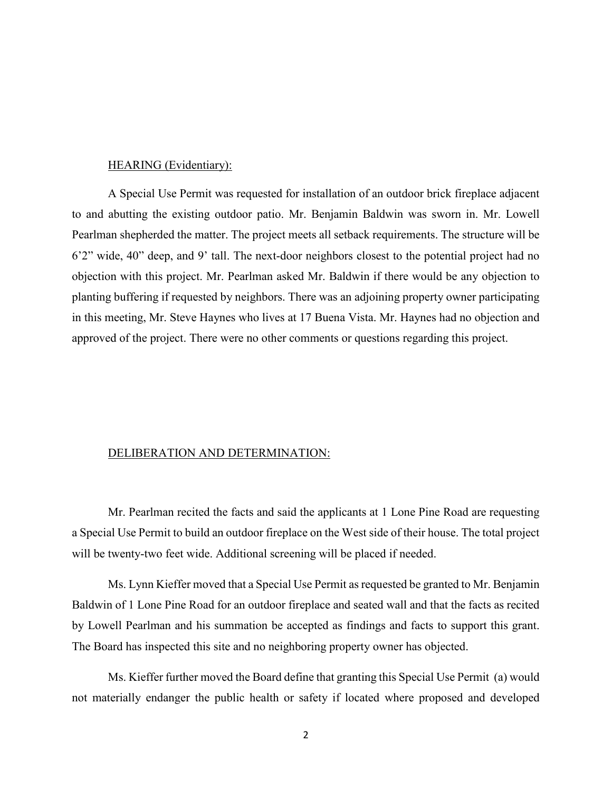### HEARING (Evidentiary):

A Special Use Permit was requested for installation of an outdoor brick fireplace adjacent to and abutting the existing outdoor patio. Mr. Benjamin Baldwin was sworn in. Mr. Lowell Pearlman shepherded the matter. The project meets all setback requirements. The structure will be 6'2" wide, 40" deep, and 9' tall. The next-door neighbors closest to the potential project had no objection with this project. Mr. Pearlman asked Mr. Baldwin if there would be any objection to planting buffering if requested by neighbors. There was an adjoining property owner participating in this meeting, Mr. Steve Haynes who lives at 17 Buena Vista. Mr. Haynes had no objection and approved of the project. There were no other comments or questions regarding this project.

# DELIBERATION AND DETERMINATION:

Mr. Pearlman recited the facts and said the applicants at 1 Lone Pine Road are requesting a Special Use Permit to build an outdoor fireplace on the West side of their house. The total project will be twenty-two feet wide. Additional screening will be placed if needed.

Ms. Lynn Kieffer moved that a Special Use Permit as requested be granted to Mr. Benjamin Baldwin of 1 Lone Pine Road for an outdoor fireplace and seated wall and that the facts as recited by Lowell Pearlman and his summation be accepted as findings and facts to support this grant. The Board has inspected this site and no neighboring property owner has objected.

Ms. Kieffer further moved the Board define that granting this Special Use Permit (a) would not materially endanger the public health or safety if located where proposed and developed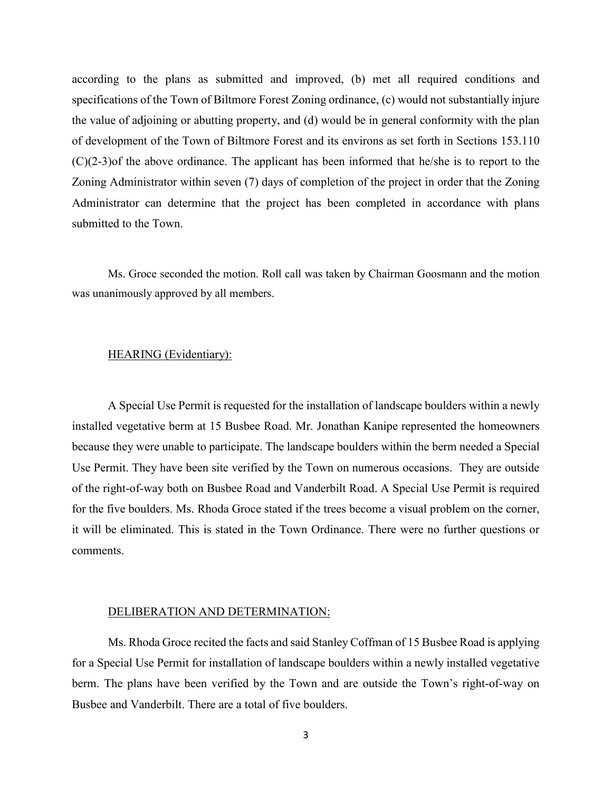according to the plans as submitted and improved, (b) met all required conditions and specifications of the Town of Biltmore Forest Zoning ordinance, (c) would not substantially injure the value of adjoining or abutting property, and (d) would be in general conformity with the plan of development of the Town of Biltmore Forest and its environs as set forth in Sections 153.110 (C)(2-3)of the above ordinance. The applicant has been informed that he/she is to report to the Zoning Administrator within seven (7) days of completion of the project in order that the Zoning Administrator can determine that the project has been completed in accordance with plans submitted to the Town.

Ms. Groce seconded the motion. Roll call was taken by Chairman Goosmann and the motion was unanimously approved by all members.

## HEARING (Evidentiary):

A Special Use Permit is requested for the installation of landscape boulders within a newly installed vegetative berm at 15 Busbee Road. Mr. Jonathan Kanipe represented the homeowners because they were unable to participate. The landscape boulders within the berm needed a Special Use Permit. They have been site verified by the Town on numerous occasions. They are outside of the right-of-way both on Busbee Road and Vanderbilt Road. A Special Use Permit is required for the five boulders. Ms. Rhoda Groce stated if the trees become a visual problem on the corner, it will be eliminated. This is stated in the Town Ordinance. There were no further questions or comments.

#### DELIBERATION AND DETERMINATION:

Ms. Rhoda Groce recited the facts and said Stanley Coffman of 15 Busbee Road is applying for a Special Use Permit for installation of landscape boulders within a newly installed vegetative berm. The plans have been verified by the Town and are outside the Town's right-of-way on Busbee and Vanderbilt. There are a total of five boulders.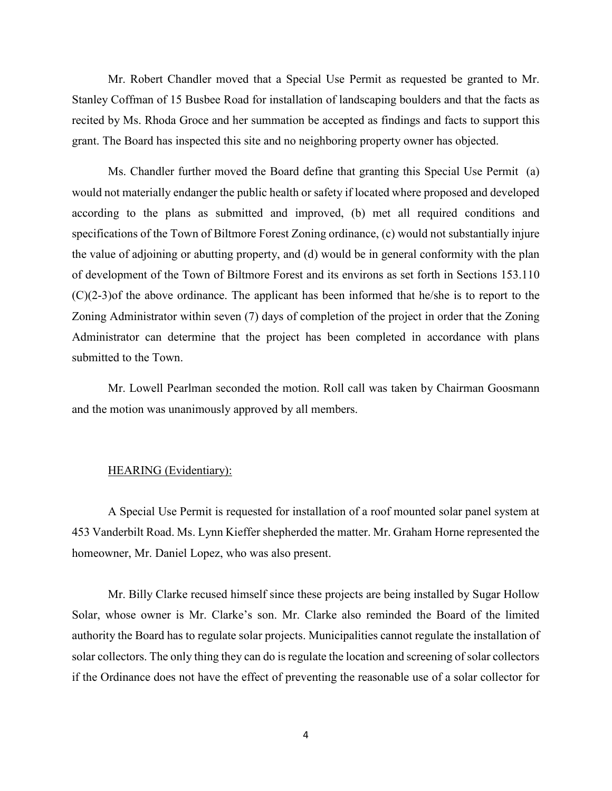Mr. Robert Chandler moved that a Special Use Permit as requested be granted to Mr. Stanley Coffman of 15 Busbee Road for installation of landscaping boulders and that the facts as recited by Ms. Rhoda Groce and her summation be accepted as findings and facts to support this grant. The Board has inspected this site and no neighboring property owner has objected.

Ms. Chandler further moved the Board define that granting this Special Use Permit (a) would not materially endanger the public health or safety if located where proposed and developed according to the plans as submitted and improved, (b) met all required conditions and specifications of the Town of Biltmore Forest Zoning ordinance, (c) would not substantially injure the value of adjoining or abutting property, and (d) would be in general conformity with the plan of development of the Town of Biltmore Forest and its environs as set forth in Sections 153.110 (C)(2-3)of the above ordinance. The applicant has been informed that he/she is to report to the Zoning Administrator within seven (7) days of completion of the project in order that the Zoning Administrator can determine that the project has been completed in accordance with plans submitted to the Town.

Mr. Lowell Pearlman seconded the motion. Roll call was taken by Chairman Goosmann and the motion was unanimously approved by all members.

# HEARING (Evidentiary):

A Special Use Permit is requested for installation of a roof mounted solar panel system at 453 Vanderbilt Road. Ms. Lynn Kieffer shepherded the matter. Mr. Graham Horne represented the homeowner, Mr. Daniel Lopez, who was also present.

Mr. Billy Clarke recused himself since these projects are being installed by Sugar Hollow Solar, whose owner is Mr. Clarke's son. Mr. Clarke also reminded the Board of the limited authority the Board has to regulate solar projects. Municipalities cannot regulate the installation of solar collectors. The only thing they can do is regulate the location and screening of solar collectors if the Ordinance does not have the effect of preventing the reasonable use of a solar collector for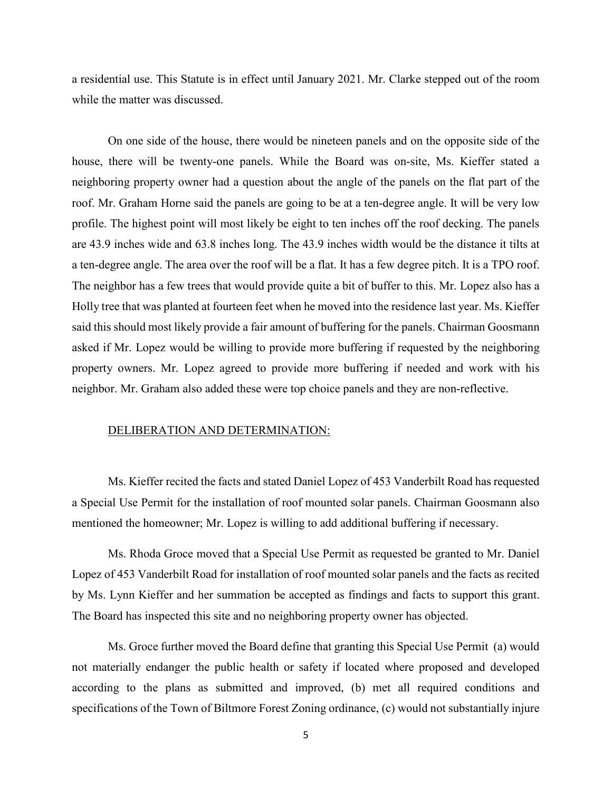a residential use. This Statute is in effect until January 2021. Mr. Clarke stepped out of the room while the matter was discussed.

On one side of the house, there would be nineteen panels and on the opposite side of the house, there will be twenty-one panels. While the Board was on-site, Ms. Kieffer stated a neighboring property owner had a question about the angle of the panels on the flat part of the roof. Mr. Graham Horne said the panels are going to be at a ten-degree angle. It will be very low profile. The highest point will most likely be eight to ten inches off the roof decking. The panels are 43.9 inches wide and 63.8 inches long. The 43.9 inches width would be the distance it tilts at a ten-degree angle. The area over the roof will be a flat. It has a few degree pitch. It is a TPO roof. The neighbor has a few trees that would provide quite a bit of buffer to this. Mr. Lopez also has a Holly tree that was planted at fourteen feet when he moved into the residence last year. Ms. Kieffer said this should most likely provide a fair amount of buffering for the panels. Chairman Goosmann asked if Mr. Lopez would be willing to provide more buffering if requested by the neighboring property owners. Mr. Lopez agreed to provide more buffering if needed and work with his neighbor. Mr. Graham also added these were top choice panels and they are non-reflective.

### DELIBERATION AND DETERMINATION:

Ms. Kieffer recited the facts and stated Daniel Lopez of 453 Vanderbilt Road has requested a Special Use Permit for the installation of roof mounted solar panels. Chairman Goosmann also mentioned the homeowner; Mr. Lopez is willing to add additional buffering if necessary.

Ms. Rhoda Groce moved that a Special Use Permit as requested be granted to Mr. Daniel Lopez of 453 Vanderbilt Road for installation of roof mounted solar panels and the facts as recited by Ms. Lynn Kieffer and her summation be accepted as findings and facts to support this grant. The Board has inspected this site and no neighboring property owner has objected.

Ms. Groce further moved the Board define that granting this Special Use Permit (a) would not materially endanger the public health or safety if located where proposed and developed according to the plans as submitted and improved, (b) met all required conditions and specifications of the Town of Biltmore Forest Zoning ordinance, (c) would not substantially injure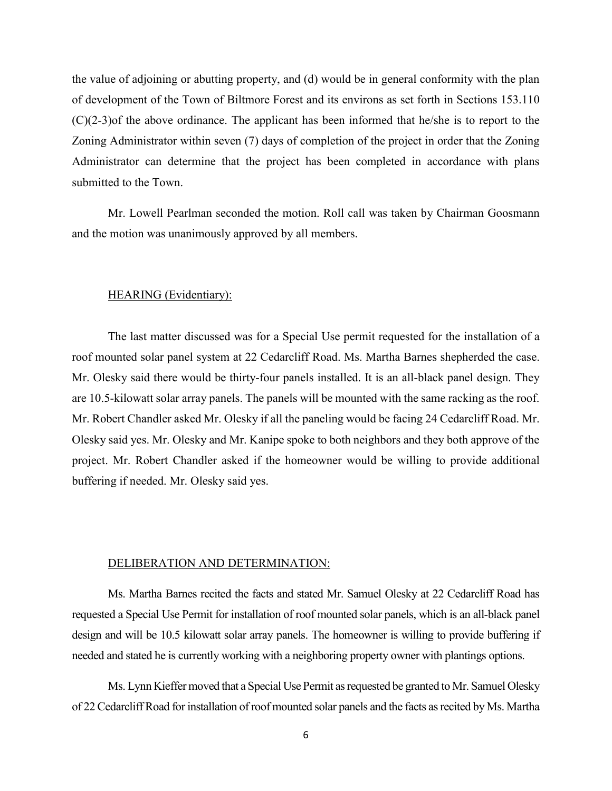the value of adjoining or abutting property, and (d) would be in general conformity with the plan of development of the Town of Biltmore Forest and its environs as set forth in Sections 153.110 (C)(2-3)of the above ordinance. The applicant has been informed that he/she is to report to the Zoning Administrator within seven (7) days of completion of the project in order that the Zoning Administrator can determine that the project has been completed in accordance with plans submitted to the Town.

Mr. Lowell Pearlman seconded the motion. Roll call was taken by Chairman Goosmann and the motion was unanimously approved by all members.

#### HEARING (Evidentiary):

The last matter discussed was for a Special Use permit requested for the installation of a roof mounted solar panel system at 22 Cedarcliff Road. Ms. Martha Barnes shepherded the case. Mr. Olesky said there would be thirty-four panels installed. It is an all-black panel design. They are 10.5-kilowatt solar array panels. The panels will be mounted with the same racking as the roof. Mr. Robert Chandler asked Mr. Olesky if all the paneling would be facing 24 Cedarcliff Road. Mr. Olesky said yes. Mr. Olesky and Mr. Kanipe spoke to both neighbors and they both approve of the project. Mr. Robert Chandler asked if the homeowner would be willing to provide additional buffering if needed. Mr. Olesky said yes.

#### DELIBERATION AND DETERMINATION:

Ms. Martha Barnes recited the facts and stated Mr. Samuel Olesky at 22 Cedarcliff Road has requested a Special Use Permit for installation of roof mounted solar panels, which is an all-black panel design and will be 10.5 kilowatt solar array panels. The homeowner is willing to provide buffering if needed and stated he is currently working with a neighboring property owner with plantings options.

Ms. Lynn Kieffer moved that a Special Use Permit as requested be granted to Mr. Samuel Olesky of 22 Cedarcliff Road for installation of roof mounted solar panels and the facts as recited by Ms. Martha